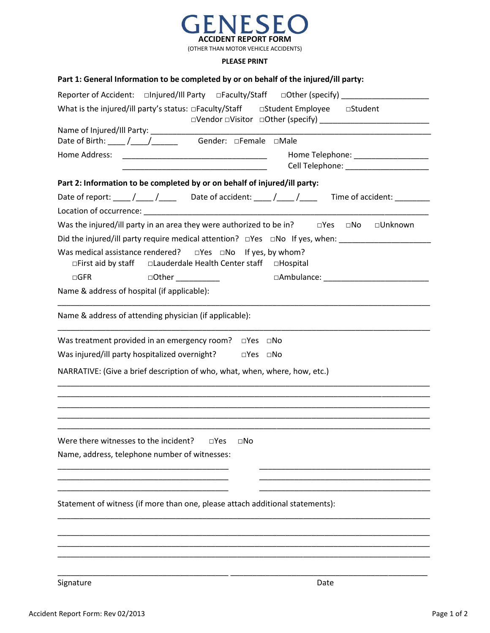

(OTHER THAN MOTOR VEHICLE ACCIDENTS)

## **PLEASE PRINT**

| Part 1: General Information to be completed by or on behalf of the injured/ill party:                                                                                                                                                                                  |
|------------------------------------------------------------------------------------------------------------------------------------------------------------------------------------------------------------------------------------------------------------------------|
| Reporter of Accident: antiqured/Ill Party and Dataulty/Staff and Dother (specify)                                                                                                                                                                                      |
| What is the injured/ill party's status: DFaculty/Staff DStudent Employee DStudent                                                                                                                                                                                      |
|                                                                                                                                                                                                                                                                        |
| Date of Birth: ____ / ___ / ___ __ Gender: □Female □Male                                                                                                                                                                                                               |
| Home Address:<br>Home Telephone: ______________________                                                                                                                                                                                                                |
| Part 2: Information to be completed by or on behalf of injured/ill party:                                                                                                                                                                                              |
| Date of report: ____/____/_____ Date of accident: ____/____/_____ Time of accident: _______                                                                                                                                                                            |
|                                                                                                                                                                                                                                                                        |
| Was the injured/ill party in an area they were authorized to be in? $\Box$ Yes $\Box$ No<br>□Unknown                                                                                                                                                                   |
| Did the injured/ill party require medical attention? □Yes □No If yes, when: _______________________                                                                                                                                                                    |
| Was medical assistance rendered? $\square$ Yes $\square$ No If yes, by whom?<br>$\Box$ First aid by staff<br>□Lauderdale Health Center staff □Hospital                                                                                                                 |
| $\Box$ GFR<br>□Other __________<br>□Ambulance: <u>University and the set of the set of the set of the set of the set of the set of the set of the set of the set of the set of the set of the set of the set of the set of the set of the set of the set of the se</u> |
| Name & address of hospital (if applicable):                                                                                                                                                                                                                            |
| Name & address of attending physician (if applicable):                                                                                                                                                                                                                 |
| Was treatment provided in an emergency room? $\square$ Yes $\square$ No                                                                                                                                                                                                |
| Was injured/ill party hospitalized overnight? □ □ Yes □ No                                                                                                                                                                                                             |
| NARRATIVE: (Give a brief description of who, what, when, where, how, etc.)                                                                                                                                                                                             |
| Were there witnesses to the incident?<br>$\square$ Yes<br>$\square$ No                                                                                                                                                                                                 |
| Name, address, telephone number of witnesses:                                                                                                                                                                                                                          |
| Statement of witness (if more than one, please attach additional statements):                                                                                                                                                                                          |
|                                                                                                                                                                                                                                                                        |
|                                                                                                                                                                                                                                                                        |
|                                                                                                                                                                                                                                                                        |

Signature Date